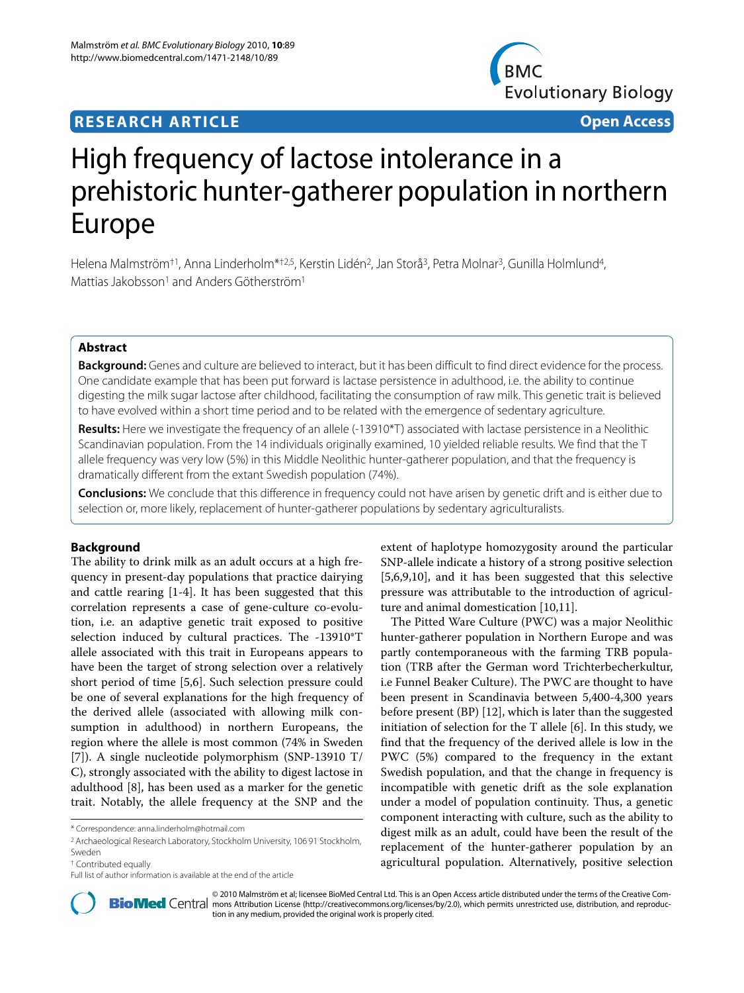# **RESEARCH ARTICLE Open Access**



# High frequency of lactose intolerance in a prehistoric hunter-gatherer population in northern Europe

Helena Malmström<sup>†1</sup>, Anna Linderholm\*<sup>†2,5</sup>, Kerstin Lidén<sup>2</sup>, Jan Storå<sup>3</sup>, Petra Molnar<sup>3</sup>, Gunilla Holmlund<sup>4</sup>, Mattias Jakobsson<sup>1</sup> and Anders Götherström<sup>1</sup>

# **Abstract**

**Background:** Genes and culture are believed to interact, but it has been difficult to find direct evidence for the process. One candidate example that has been put forward is lactase persistence in adulthood, i.e. the ability to continue digesting the milk sugar lactose after childhood, facilitating the consumption of raw milk. This genetic trait is believed to have evolved within a short time period and to be related with the emergence of sedentary agriculture.

Results: Here we investigate the frequency of an allele (-13910\*T) associated with lactase persistence in a Neolithic Scandinavian population. From the 14 individuals originally examined, 10 yielded reliable results. We find that the T allele frequency was very low (5%) in this Middle Neolithic hunter-gatherer population, and that the frequency is dramatically different from the extant Swedish population (74%).

**Conclusions:** We conclude that this difference in frequency could not have arisen by genetic drift and is either due to selection or, more likely, replacement of hunter-gatherer populations by sedentary agriculturalists.

# **Background**

The ability to drink milk as an adult occurs at a high frequency in present-day populations that practice dairying and cattle rearing [[1](#page-5-0)[-4](#page-5-1)]. It has been suggested that this correlation represents a case of gene-culture co-evolution, i.e. an adaptive genetic trait exposed to positive selection induced by cultural practices. The -13910\*T allele associated with this trait in Europeans appears to have been the target of strong selection over a relatively short period of time [\[5](#page-5-2)[,6](#page-5-3)]. Such selection pressure could be one of several explanations for the high frequency of the derived allele (associated with allowing milk consumption in adulthood) in northern Europeans, the region where the allele is most common (74% in Sweden [[7\]](#page-5-4)). A single nucleotide polymorphism (SNP-13910 T/ C), strongly associated with the ability to digest lactose in adulthood [[8\]](#page-5-5), has been used as a marker for the genetic trait. Notably, the allele frequency at the SNP and the

extent of haplotype homozygosity around the particular SNP-allele indicate a history of a strong positive selection [[5,](#page-5-2)[6](#page-5-3)[,9](#page-5-6)[,10](#page-5-7)], and it has been suggested that this selective pressure was attributable to the introduction of agriculture and animal domestication [[10,](#page-5-7)[11\]](#page-5-8).

The Pitted Ware Culture (PWC) was a major Neolithic hunter-gatherer population in Northern Europe and was partly contemporaneous with the farming TRB population (TRB after the German word Trichterbecherkultur, i.e Funnel Beaker Culture). The PWC are thought to have been present in Scandinavia between 5,400-4,300 years before present (BP) [[12\]](#page-5-9), which is later than the suggested initiation of selection for the T allele [\[6](#page-5-3)]. In this study, we find that the frequency of the derived allele is low in the PWC (5%) compared to the frequency in the extant Swedish population, and that the change in frequency is incompatible with genetic drift as the sole explanation under a model of population continuity. Thus, a genetic component interacting with culture, such as the ability to digest milk as an adult, could have been the result of the replacement of the hunter-gatherer population by an agricultural population. Alternatively, positive selection



© 2010 Malmström et al; licensee [BioMed](http://www.biomedcentral.com/) Central Ltd. This is an Open Access article distributed under the terms of the Creative Com-<br>-Bio Med Central mons Attribution License (http://creativecommons.org/licenses/by/2.0), w tion in any medium, provided the original work is properly cited.

<sup>\*</sup> Correspondence: anna.linderholm@hotmail.com

<sup>2</sup> Archaeological Research Laboratory, Stockholm University, 106 91 Stockholm, Sweden

<sup>†</sup> Contributed equally

Full list of author information is available at the end of the article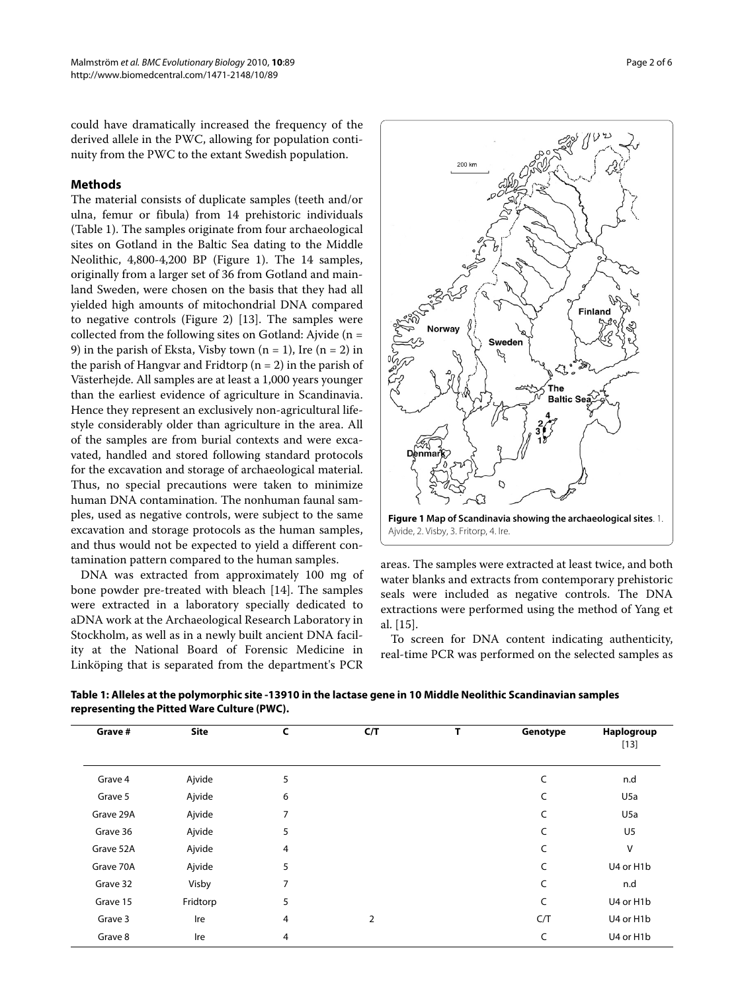could have dramatically increased the frequency of the derived allele in the PWC, allowing for population continuity from the PWC to the extant Swedish population.

# **Methods**

The material consists of duplicate samples (teeth and/or ulna, femur or fibula) from 14 prehistoric individuals (Table 1). The samples originate from four archaeological sites on Gotland in the Baltic Sea dating to the Middle Neolithic, 4,800-4,200 BP (Figure [1](#page-1-0)). The 14 samples, originally from a larger set of 36 from Gotland and mainland Sweden, were chosen on the basis that they had all yielded high amounts of mitochondrial DNA compared to negative controls (Figure [2](#page-2-0)) [\[13\]](#page-5-10). The samples were collected from the following sites on Gotland: Ajvide ( $n =$ 9) in the parish of Eksta, Visby town  $(n = 1)$ , Ire  $(n = 2)$  in the parish of Hangvar and Fridtorp ( $n = 2$ ) in the parish of Västerhejde. All samples are at least a 1,000 years younger than the earliest evidence of agriculture in Scandinavia. Hence they represent an exclusively non-agricultural lifestyle considerably older than agriculture in the area. All of the samples are from burial contexts and were excavated, handled and stored following standard protocols for the excavation and storage of archaeological material. Thus, no special precautions were taken to minimize human DNA contamination. The nonhuman faunal samples, used as negative controls, were subject to the same excavation and storage protocols as the human samples, and thus would not be expected to yield a different contamination pattern compared to the human samples.

DNA was extracted from approximately 100 mg of bone powder pre-treated with bleach [\[14](#page-5-11)]. The samples were extracted in a laboratory specially dedicated to aDNA work at the Archaeological Research Laboratory in Stockholm, as well as in a newly built ancient DNA facility at the National Board of Forensic Medicine in Linköping that is separated from the department's PCR

<span id="page-1-0"></span>

areas. The samples were extracted at least twice, and both water blanks and extracts from contemporary prehistoric seals were included as negative controls. The DNA extractions were performed using the method of Yang et al. [\[15](#page-5-12)].

To screen for DNA content indicating authenticity, real-time PCR was performed on the selected samples as

| Table 1: Alleles at the polymorphic site -13910 in the lactase gene in 10 Middle Neolithic Scandinavian samples |
|-----------------------------------------------------------------------------------------------------------------|
| representing the Pitted Ware Culture (PWC).                                                                     |
|                                                                                                                 |

| Grave #   | <b>Site</b> | $\mathsf{C}$ | C/T | т | Genotype | Haplogroup<br>$[13]$ |
|-----------|-------------|--------------|-----|---|----------|----------------------|
| Grave 4   | Ajvide      | 5            |     |   | C        | n.d                  |
| Grave 5   | Ajvide      | 6            |     |   | C        | U <sub>5</sub> a     |
| Grave 29A | Ajvide      | 7            |     |   | C        | U <sub>5</sub> a     |
| Grave 36  | Ajvide      | 5            |     |   | C        | U <sub>5</sub>       |
| Grave 52A | Ajvide      | 4            |     |   | C        | V                    |
| Grave 70A | Ajvide      | 5            |     |   | C        | U4 or H1b            |
| Grave 32  | Visby       | 7            |     |   | C        | n.d                  |
| Grave 15  | Fridtorp    | 5            |     |   | C        | U4 or H1b            |
| Grave 3   | Ire         | 4            | 2   |   | C/T      | U4 or H1b            |
| Grave 8   | Ire         | 4            |     |   | C        | U4 or H1b            |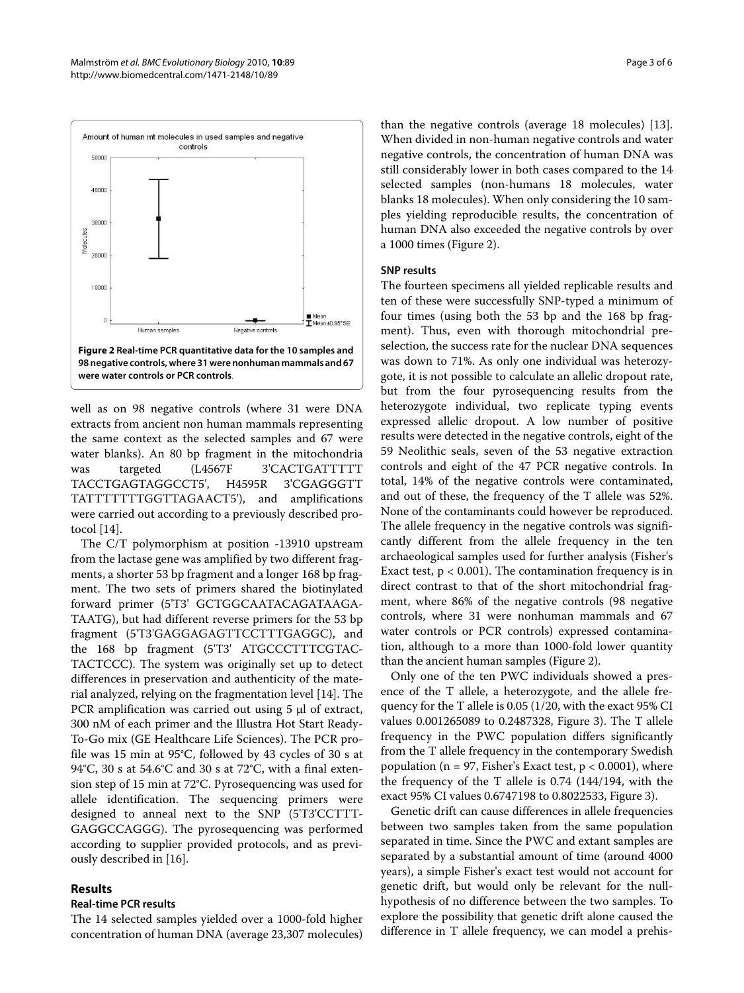<span id="page-2-0"></span>

well as on 98 negative controls (where 31 were DNA extracts from ancient non human mammals representing the same context as the selected samples and 67 were water blanks). An 80 bp fragment in the mitochondria was targeted (L4567F 3'CACTGATTTTT TACCTGAGTAGGCCT5', H4595R 3'CGAGGGTT TATTTTTTTGGTTAGAACT5'), and amplifications were carried out according to a previously described protocol [[14\]](#page-5-11).

The C/T polymorphism at position -13910 upstream from the lactase gene was amplified by two different fragments, a shorter 53 bp fragment and a longer 168 bp fragment. The two sets of primers shared the biotinylated forward primer (5'T3' GCTGGCAATACAGATAAGA-TAATG), but had different reverse primers for the 53 bp fragment (5'T3'GAGGAGAGTTCCTTTGAGGC), and the 168 bp fragment (5'T3' ATGCCCTTTCGTAC-TACTCCC). The system was originally set up to detect differences in preservation and authenticity of the material analyzed, relying on the fragmentation level [[14](#page-5-11)]. The PCR amplification was carried out using 5 μl of extract, 300 nM of each primer and the Illustra Hot Start Ready-To-Go mix (GE Healthcare Life Sciences). The PCR profile was 15 min at 95°C, followed by 43 cycles of 30 s at 94°C, 30 s at 54.6°C and 30 s at 72°C, with a final extension step of 15 min at 72°C. Pyrosequencing was used for allele identification. The sequencing primers were designed to anneal next to the SNP (5'T3'CCTTT-GAGGCCAGGG). The pyrosequencing was performed according to supplier provided protocols, and as previously described in [[16\]](#page-5-13).

#### **Results**

# **Real-time PCR results**

The 14 selected samples yielded over a 1000-fold higher concentration of human DNA (average 23,307 molecules)

than the negative controls (average 18 molecules) [\[13](#page-5-10)]. When divided in non-human negative controls and water negative controls, the concentration of human DNA was still considerably lower in both cases compared to the 14 selected samples (non-humans 18 molecules, water blanks 18 molecules). When only considering the 10 samples yielding reproducible results, the concentration of human DNA also exceeded the negative controls by over a 1000 times (Figure [2](#page-2-0)).

# **SNP results**

The fourteen specimens all yielded replicable results and ten of these were successfully SNP-typed a minimum of four times (using both the 53 bp and the 168 bp fragment). Thus, even with thorough mitochondrial preselection, the success rate for the nuclear DNA sequences was down to 71%. As only one individual was heterozygote, it is not possible to calculate an allelic dropout rate, but from the four pyrosequencing results from the heterozygote individual, two replicate typing events expressed allelic dropout. A low number of positive results were detected in the negative controls, eight of the 59 Neolithic seals, seven of the 53 negative extraction controls and eight of the 47 PCR negative controls. In total, 14% of the negative controls were contaminated, and out of these, the frequency of the T allele was 52%. None of the contaminants could however be reproduced. The allele frequency in the negative controls was significantly different from the allele frequency in the ten archaeological samples used for further analysis (Fisher's Exact test,  $p < 0.001$ ). The contamination frequency is in direct contrast to that of the short mitochondrial fragment, where 86% of the negative controls (98 negative controls, where 31 were nonhuman mammals and 67 water controls or PCR controls) expressed contamination, although to a more than 1000-fold lower quantity than the ancient human samples (Figure [2\)](#page-2-0).

Only one of the ten PWC individuals showed a presence of the T allele, a heterozygote, and the allele frequency for the T allele is 0.05 (1/20, with the exact 95% CI values 0.001265089 to 0.2487328, Figure [3\)](#page-3-0). The T allele frequency in the PWC population differs significantly from the T allele frequency in the contemporary Swedish population ( $n = 97$ , Fisher's Exact test,  $p < 0.0001$ ), where the frequency of the T allele is 0.74 (144/194, with the exact 95% CI values 0.6747198 to 0.8022533, Figure [3](#page-3-0)).

Genetic drift can cause differences in allele frequencies between two samples taken from the same population separated in time. Since the PWC and extant samples are separated by a substantial amount of time (around 4000 years), a simple Fisher's exact test would not account for genetic drift, but would only be relevant for the nullhypothesis of no difference between the two samples. To explore the possibility that genetic drift alone caused the difference in T allele frequency, we can model a prehis-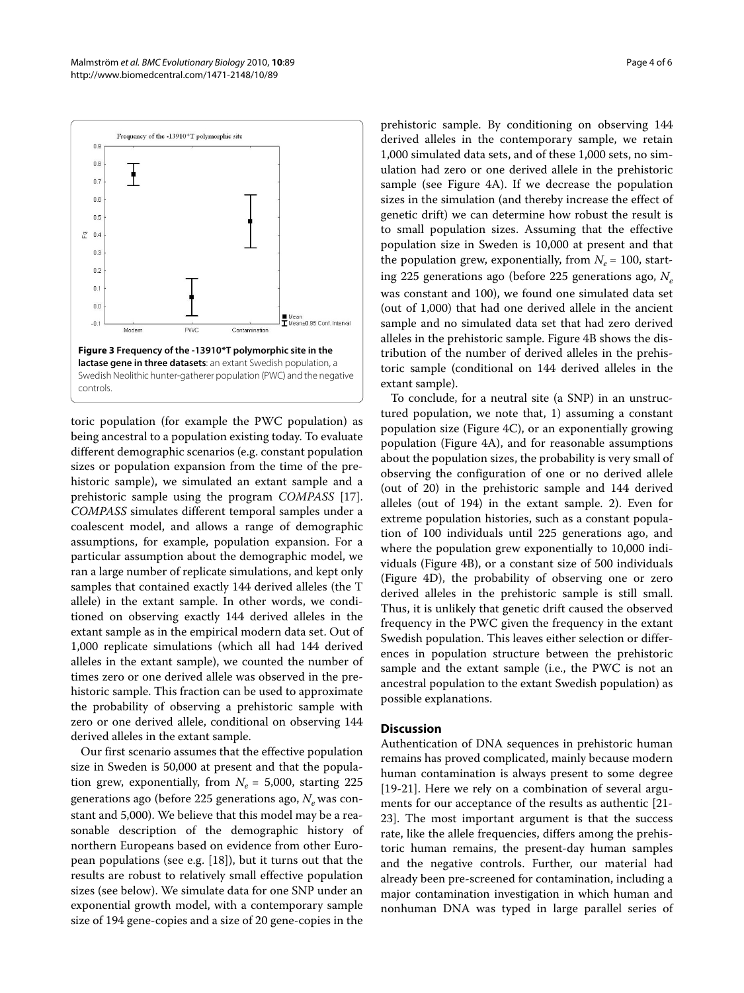<span id="page-3-0"></span>

toric population (for example the PWC population) as being ancestral to a population existing today. To evaluate different demographic scenarios (e.g. constant population sizes or population expansion from the time of the prehistoric sample), we simulated an extant sample and a prehistoric sample using the program *COMPASS* [\[17](#page-5-14)]. *COMPASS* simulates different temporal samples under a coalescent model, and allows a range of demographic assumptions, for example, population expansion. For a particular assumption about the demographic model, we ran a large number of replicate simulations, and kept only samples that contained exactly 144 derived alleles (the T allele) in the extant sample. In other words, we conditioned on observing exactly 144 derived alleles in the extant sample as in the empirical modern data set. Out of 1,000 replicate simulations (which all had 144 derived alleles in the extant sample), we counted the number of times zero or one derived allele was observed in the prehistoric sample. This fraction can be used to approximate the probability of observing a prehistoric sample with zero or one derived allele, conditional on observing 144 derived alleles in the extant sample.

Our first scenario assumes that the effective population size in Sweden is 50,000 at present and that the population grew, exponentially, from  $N_e$  = 5,000, starting 225 generations ago (before 225 generations ago, N<sub>e</sub> was constant and 5,000). We believe that this model may be a reasonable description of the demographic history of northern Europeans based on evidence from other European populations (see e.g. [[18\]](#page-5-15)), but it turns out that the results are robust to relatively small effective population sizes (see below). We simulate data for one SNP under an exponential growth model, with a contemporary sample size of 194 gene-copies and a size of 20 gene-copies in the prehistoric sample. By conditioning on observing 144 derived alleles in the contemporary sample, we retain 1,000 simulated data sets, and of these 1,000 sets, no simulation had zero or one derived allele in the prehistoric sample (see Figure [4](#page-4-0)A). If we decrease the population sizes in the simulation (and thereby increase the effect of genetic drift) we can determine how robust the result is to small population sizes. Assuming that the effective population size in Sweden is 10,000 at present and that the population grew, exponentially, from  $N_e$  = 100, starting 225 generations ago (before 225 generations ago, *Ne* was constant and 100), we found one simulated data set (out of 1,000) that had one derived allele in the ancient sample and no simulated data set that had zero derived alleles in the prehistoric sample. Figure [4B](#page-4-0) shows the distribution of the number of derived alleles in the prehistoric sample (conditional on 144 derived alleles in the extant sample).

To conclude, for a neutral site (a SNP) in an unstructured population, we note that, 1) assuming a constant population size (Figure [4](#page-4-0)C), or an exponentially growing population (Figure [4](#page-4-0)A), and for reasonable assumptions about the population sizes, the probability is very small of observing the configuration of one or no derived allele (out of 20) in the prehistoric sample and 144 derived alleles (out of 194) in the extant sample. 2). Even for extreme population histories, such as a constant population of 100 individuals until 225 generations ago, and where the population grew exponentially to 10,000 individuals (Figure [4B](#page-4-0)), or a constant size of 500 individuals (Figure [4D](#page-4-0)), the probability of observing one or zero derived alleles in the prehistoric sample is still small. Thus, it is unlikely that genetic drift caused the observed frequency in the PWC given the frequency in the extant Swedish population. This leaves either selection or differences in population structure between the prehistoric sample and the extant sample (i.e., the PWC is not an ancestral population to the extant Swedish population) as possible explanations.

### **Discussion**

Authentication of DNA sequences in prehistoric human remains has proved complicated, mainly because modern human contamination is always present to some degree [[19](#page-5-16)[-21](#page-5-17)]. Here we rely on a combination of several arguments for our acceptance of the results as authentic [\[21-](#page-5-17) [23\]](#page-5-18). The most important argument is that the success rate, like the allele frequencies, differs among the prehistoric human remains, the present-day human samples and the negative controls. Further, our material had already been pre-screened for contamination, including a major contamination investigation in which human and nonhuman DNA was typed in large parallel series of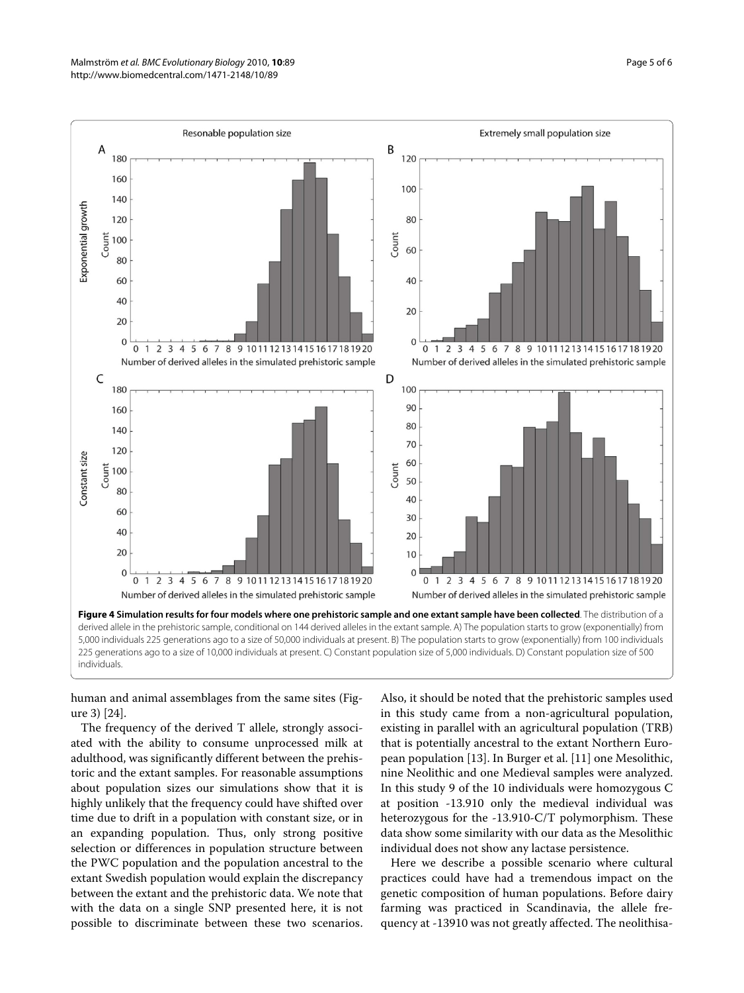<span id="page-4-0"></span>

human and animal assemblages from the same sites (Figure [3](#page-3-0)) [\[24\]](#page-5-19).

The frequency of the derived T allele, strongly associated with the ability to consume unprocessed milk at adulthood, was significantly different between the prehistoric and the extant samples. For reasonable assumptions about population sizes our simulations show that it is highly unlikely that the frequency could have shifted over time due to drift in a population with constant size, or in an expanding population. Thus, only strong positive selection or differences in population structure between the PWC population and the population ancestral to the extant Swedish population would explain the discrepancy between the extant and the prehistoric data. We note that with the data on a single SNP presented here, it is not possible to discriminate between these two scenarios.

Also, it should be noted that the prehistoric samples used in this study came from a non-agricultural population, existing in parallel with an agricultural population (TRB) that is potentially ancestral to the extant Northern European population [[13\]](#page-5-10). In Burger et al. [\[11\]](#page-5-8) one Mesolithic, nine Neolithic and one Medieval samples were analyzed. In this study 9 of the 10 individuals were homozygous C at position -13.910 only the medieval individual was heterozygous for the -13.910-C/T polymorphism. These data show some similarity with our data as the Mesolithic individual does not show any lactase persistence.

Here we describe a possible scenario where cultural practices could have had a tremendous impact on the genetic composition of human populations. Before dairy farming was practiced in Scandinavia, the allele frequency at -13910 was not greatly affected. The neolithisa-